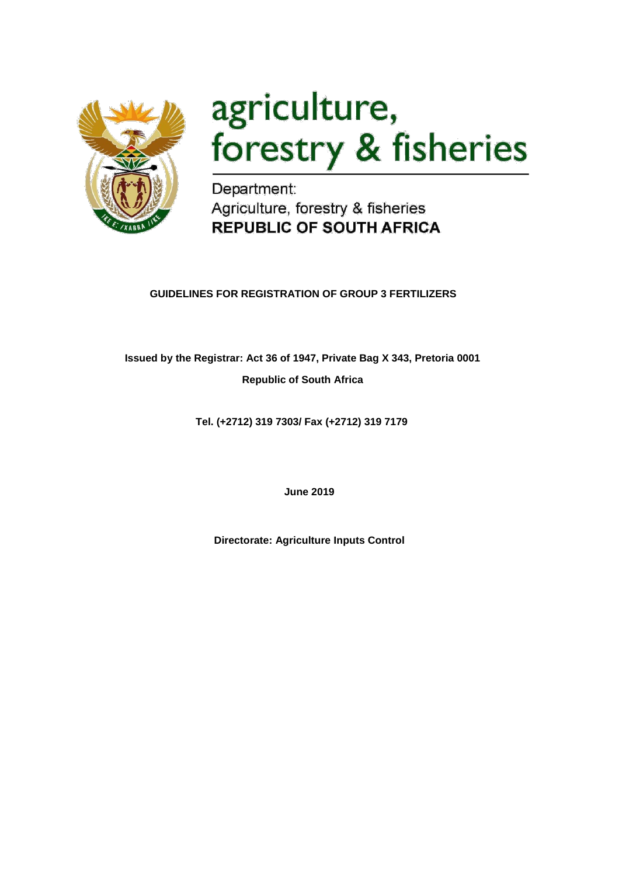

# agriculture, forestry & fisheries

Department: Agriculture, forestry & fisheries **REPUBLIC OF SOUTH AFRICA** 

**GUIDELINES FOR REGISTRATION OF GROUP 3 FERTILIZERS**

# **Issued by the Registrar: Act 36 of 1947, Private Bag X 343, Pretoria 0001 Republic of South Africa**

**Tel. (+2712) 319 7303/ Fax (+2712) 319 7179**

**June 2019**

**Directorate: Agriculture Inputs Control**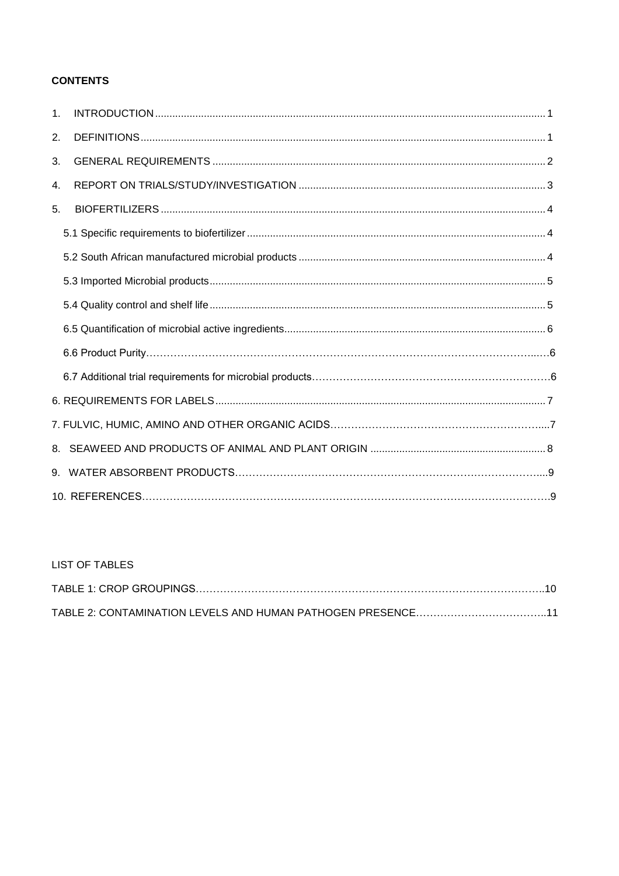# **CONTENTS**

| 1 <sub>1</sub> |  |
|----------------|--|
| 2.             |  |
| 3.             |  |
| 4.             |  |
| 5.             |  |
|                |  |
|                |  |
|                |  |
|                |  |
|                |  |
|                |  |
|                |  |
|                |  |
|                |  |
|                |  |
|                |  |
|                |  |

# **LIST OF TABLES**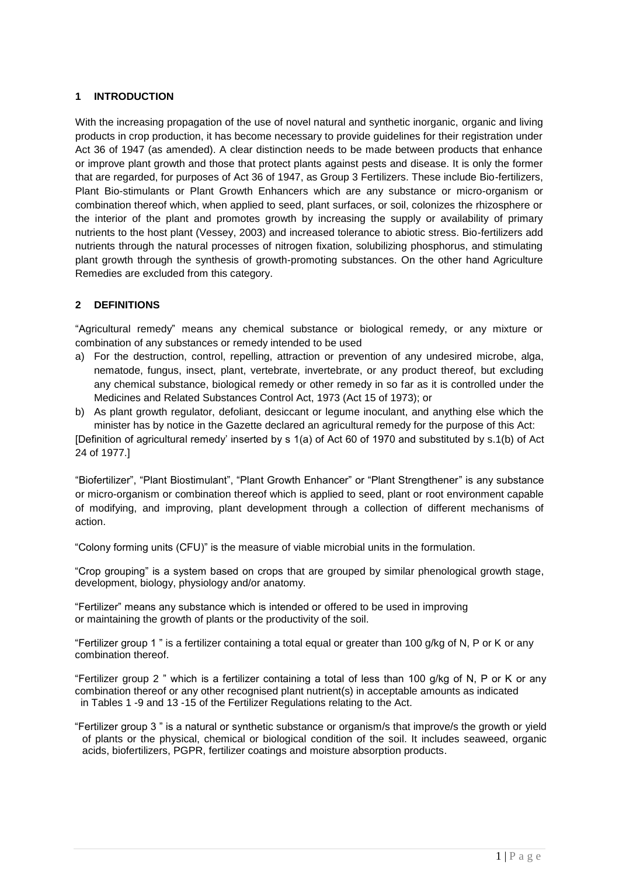# **1 INTRODUCTION**

With the increasing propagation of the use of novel natural and synthetic inorganic, organic and living products in crop production, it has become necessary to provide guidelines for their registration under Act 36 of 1947 (as amended). A clear distinction needs to be made between products that enhance or improve plant growth and those that protect plants against pests and disease. It is only the former that are regarded, for purposes of Act 36 of 1947, as Group 3 Fertilizers. These include Bio-fertilizers, Plant Bio-stimulants or Plant Growth Enhancers which are any substance or micro-organism or combination thereof which, when applied to seed, plant surfaces, or soil, colonizes the rhizosphere or the interior of the plant and promotes growth by increasing the supply or availability of primary nutrients to the host plant (Vessey, 2003) and increased tolerance to abiotic stress. Bio-fertilizers add nutrients through the natural processes of nitrogen fixation, solubilizing phosphorus, and stimulating plant growth through the synthesis of growth-promoting substances. On the other hand Agriculture Remedies are excluded from this category.

# **2 DEFINITIONS**

"Agricultural remedy" means any chemical substance or biological remedy, or any mixture or combination of any substances or remedy intended to be used

- a) For the destruction, control, repelling, attraction or prevention of any undesired microbe, alga, nematode, fungus, insect, plant, vertebrate, invertebrate, or any product thereof, but excluding any chemical substance, biological remedy or other remedy in so far as it is controlled under the Medicines and Related Substances Control Act, 1973 (Act 15 of 1973); or
- b) As plant growth regulator, defoliant, desiccant or legume inoculant, and anything else which the minister has by notice in the Gazette declared an agricultural remedy for the purpose of this Act:

[Definition of agricultural remedy' inserted by s 1(a) of Act 60 of 1970 and substituted by s.1(b) of Act 24 of 1977.]

"Biofertilizer", "Plant Biostimulant", "Plant Growth Enhancer" or "Plant Strengthener" is any substance or micro-organism or combination thereof which is applied to seed, plant or root environment capable of modifying, and improving, plant development through a collection of different mechanisms of action.

"Colony forming units (CFU)" is the measure of viable microbial units in the formulation.

"Crop grouping" is a system based on crops that are grouped by similar phenological growth stage, development, biology, physiology and/or anatomy.

"Fertilizer" means any substance which is intended or offered to be used in improving or maintaining the growth of plants or the productivity of the soil.

"Fertilizer group 1 " is a fertilizer containing a total equal or greater than 100 g/kg of N, P or K or any combination thereof.

"Fertilizer group 2 " which is a fertilizer containing a total of less than 100 g/kg of N, P or K or any combination thereof or any other recognised plant nutrient(s) in acceptable amounts as indicated in Tables 1 -9 and 13 -15 of the Fertilizer Regulations relating to the Act.

"Fertilizer group 3 " is a natural or synthetic substance or organism/s that improve/s the growth or yield of plants or the physical, chemical or biological condition of the soil. It includes seaweed, organic acids, biofertilizers, PGPR, fertilizer coatings and moisture absorption products.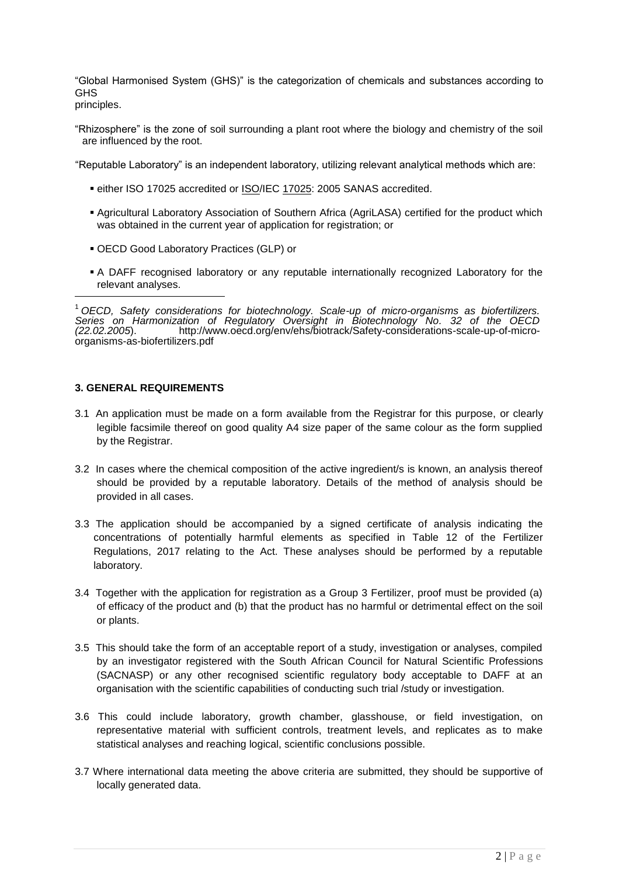"Global Harmonised System (GHS)" is the categorization of chemicals and substances according to GHS principles.

"Rhizosphere" is the zone of soil surrounding a plant root where the biology and chemistry of the soil are influenced by the root.

"Reputable Laboratory" is an independent laboratory, utilizing relevant analytical methods which are:

- either ISO 17025 accredited or ISO/IEC 17025: 2005 SANAS accredited.
- Agricultural Laboratory Association of Southern Africa (AgriLASA) certified for the product which was obtained in the current year of application for registration; or
- OECD Good Laboratory Practices (GLP) or
- A DAFF recognised laboratory or any reputable internationally recognized Laboratory for the relevant analyses.

<sup>1</sup> *OECD, Safety considerations for biotechnology. Scale-up of micro-organisms as biofertilizers. Series on Harmonization of Regulatory Oversight in Biotechnology No. 32 of the OECD (22.02.2005*). http://www.oecd.org/env/ehs/biotrack/Safety-considerations-scale-up-of-microorganisms-as-biofertilizers.pdf

#### **3. GENERAL REQUIREMENTS**

- 3.1 An application must be made on a form available from the Registrar for this purpose, or clearly legible facsimile thereof on good quality A4 size paper of the same colour as the form supplied by the Registrar.
- 3.2 In cases where the chemical composition of the active ingredient/s is known, an analysis thereof should be provided by a reputable laboratory. Details of the method of analysis should be provided in all cases.
- 3.3 The application should be accompanied by a signed certificate of analysis indicating the concentrations of potentially harmful elements as specified in Table 12 of the Fertilizer Regulations, 2017 relating to the Act. These analyses should be performed by a reputable laboratory.
- 3.4 Together with the application for registration as a Group 3 Fertilizer, proof must be provided (a) of efficacy of the product and (b) that the product has no harmful or detrimental effect on the soil or plants.
- 3.5 This should take the form of an acceptable report of a study, investigation or analyses, compiled by an investigator registered with the South African Council for Natural Scientific Professions (SACNASP) or any other recognised scientific regulatory body acceptable to DAFF at an organisation with the scientific capabilities of conducting such trial /study or investigation.
- 3.6 This could include laboratory, growth chamber, glasshouse, or field investigation, on representative material with sufficient controls, treatment levels, and replicates as to make statistical analyses and reaching logical, scientific conclusions possible.
- 3.7 Where international data meeting the above criteria are submitted, they should be supportive of locally generated data.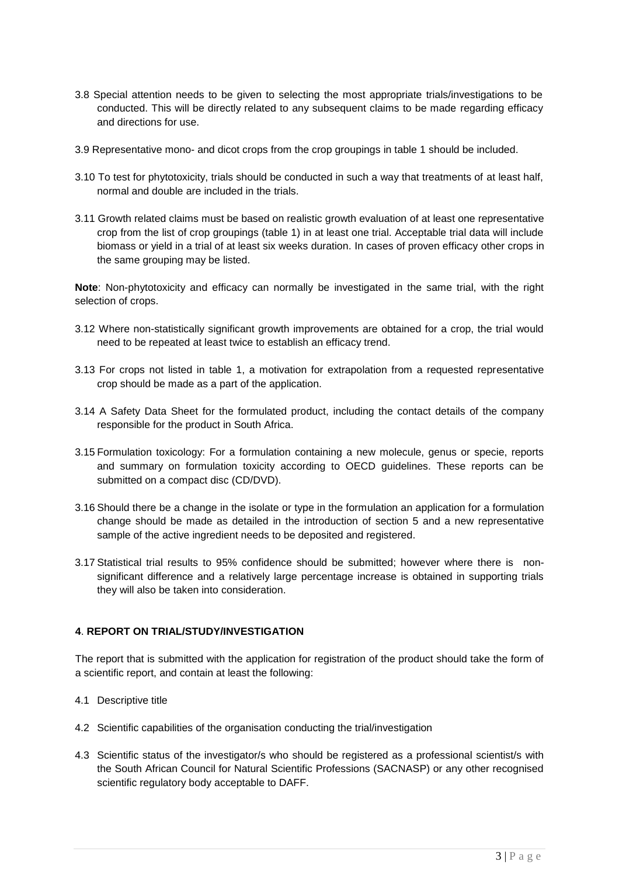- 3.8 Special attention needs to be given to selecting the most appropriate trials/investigations to be conducted. This will be directly related to any subsequent claims to be made regarding efficacy and directions for use.
- 3.9 Representative mono- and dicot crops from the crop groupings in table 1 should be included.
- 3.10 To test for phytotoxicity, trials should be conducted in such a way that treatments of at least half, normal and double are included in the trials.
- 3.11 Growth related claims must be based on realistic growth evaluation of at least one representative crop from the list of crop groupings (table 1) in at least one trial. Acceptable trial data will include biomass or yield in a trial of at least six weeks duration. In cases of proven efficacy other crops in the same grouping may be listed.

**Note**: Non-phytotoxicity and efficacy can normally be investigated in the same trial, with the right selection of crops.

- 3.12 Where non-statistically significant growth improvements are obtained for a crop, the trial would need to be repeated at least twice to establish an efficacy trend.
- 3.13 For crops not listed in table 1, a motivation for extrapolation from a requested representative crop should be made as a part of the application.
- 3.14 A Safety Data Sheet for the formulated product, including the contact details of the company responsible for the product in South Africa.
- 3.15 Formulation toxicology: For a formulation containing a new molecule, genus or specie, reports and summary on formulation toxicity according to OECD guidelines. These reports can be submitted on a compact disc (CD/DVD).
- 3.16 Should there be a change in the isolate or type in the formulation an application for a formulation change should be made as detailed in the introduction of section 5 and a new representative sample of the active ingredient needs to be deposited and registered.
- 3.17 Statistical trial results to 95% confidence should be submitted; however where there is nonsignificant difference and a relatively large percentage increase is obtained in supporting trials they will also be taken into consideration.

# **4**. **REPORT ON TRIAL/STUDY/INVESTIGATION**

The report that is submitted with the application for registration of the product should take the form of a scientific report, and contain at least the following:

- 4.1 Descriptive title
- 4.2 Scientific capabilities of the organisation conducting the trial/investigation
- 4.3 Scientific status of the investigator/s who should be registered as a professional scientist/s with the South African Council for Natural Scientific Professions (SACNASP) or any other recognised scientific regulatory body acceptable to DAFF.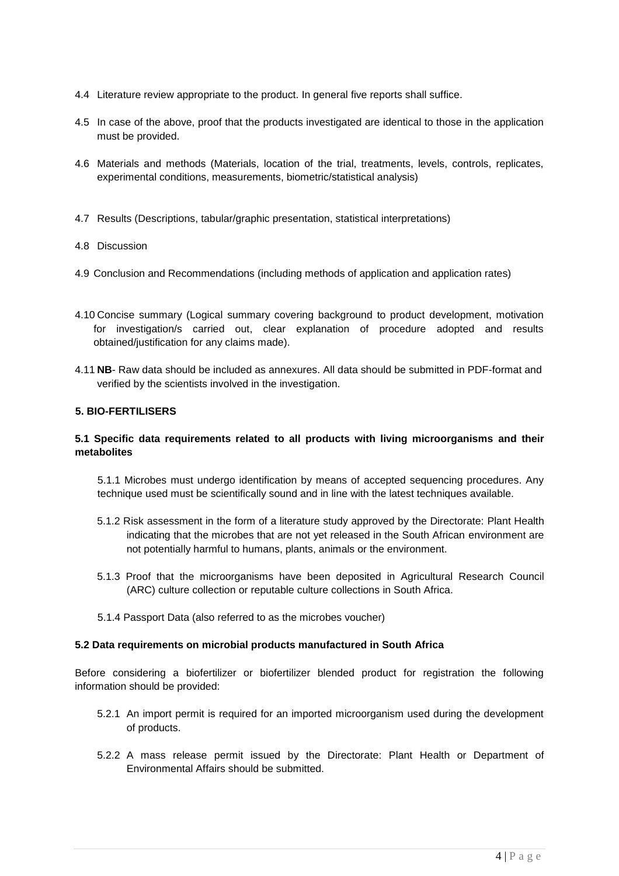- 4.4 Literature review appropriate to the product. In general five reports shall suffice.
- 4.5 In case of the above, proof that the products investigated are identical to those in the application must be provided.
- 4.6 Materials and methods (Materials, location of the trial, treatments, levels, controls, replicates, experimental conditions, measurements, biometric/statistical analysis)
- 4.7 Results (Descriptions, tabular/graphic presentation, statistical interpretations)
- 4.8 Discussion
- 4.9 Conclusion and Recommendations (including methods of application and application rates)
- 4.10 Concise summary (Logical summary covering background to product development, motivation for investigation/s carried out, clear explanation of procedure adopted and results obtained/justification for any claims made).
- 4.11 **NB** Raw data should be included as annexures. All data should be submitted in PDF-format and verified by the scientists involved in the investigation.

# **5. BIO-FERTILISERS**

# **5.1 Specific data requirements related to all products with living microorganisms and their metabolites**

5.1.1 Microbes must undergo identification by means of accepted sequencing procedures. Any technique used must be scientifically sound and in line with the latest techniques available.

- 5.1.2 Risk assessment in the form of a literature study approved by the Directorate: Plant Health indicating that the microbes that are not yet released in the South African environment are not potentially harmful to humans, plants, animals or the environment.
- 5.1.3 Proof that the microorganisms have been deposited in Agricultural Research Council (ARC) culture collection or reputable culture collections in South Africa.
- 5.1.4 Passport Data (also referred to as the microbes voucher)

# **5.2 Data requirements on microbial products manufactured in South Africa**

Before considering a biofertilizer or biofertilizer blended product for registration the following information should be provided:

- 5.2.1 An import permit is required for an imported microorganism used during the development of products.
- 5.2.2 A mass release permit issued by the Directorate: Plant Health or Department of Environmental Affairs should be submitted.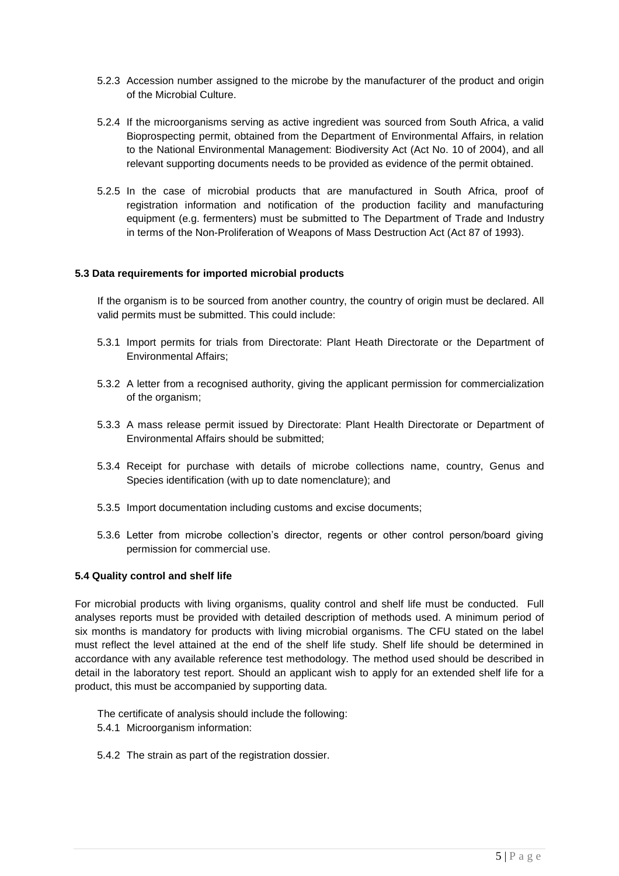- 5.2.3 Accession number assigned to the microbe by the manufacturer of the product and origin of the Microbial Culture.
- 5.2.4 If the microorganisms serving as active ingredient was sourced from South Africa, a valid Bioprospecting permit, obtained from the Department of Environmental Affairs, in relation to the National Environmental Management: Biodiversity Act (Act No. 10 of 2004), and all relevant supporting documents needs to be provided as evidence of the permit obtained.
- 5.2.5 In the case of microbial products that are manufactured in South Africa, proof of registration information and notification of the production facility and manufacturing equipment (e.g. fermenters) must be submitted to The Department of Trade and Industry in terms of the Non-Proliferation of Weapons of Mass Destruction Act (Act 87 of 1993).

#### **5.3 Data requirements for imported microbial products**

If the organism is to be sourced from another country, the country of origin must be declared. All valid permits must be submitted. This could include:

- 5.3.1 Import permits for trials from Directorate: Plant Heath Directorate or the Department of Environmental Affairs;
- 5.3.2 A letter from a recognised authority, giving the applicant permission for commercialization of the organism;
- 5.3.3 A mass release permit issued by Directorate: Plant Health Directorate or Department of Environmental Affairs should be submitted;
- 5.3.4 Receipt for purchase with details of microbe collections name, country, Genus and Species identification (with up to date nomenclature); and
- 5.3.5 Import documentation including customs and excise documents;
- 5.3.6 Letter from microbe collection's director, regents or other control person/board giving permission for commercial use.

#### **5.4 Quality control and shelf life**

For microbial products with living organisms, quality control and shelf life must be conducted. Full analyses reports must be provided with detailed description of methods used. A minimum period of six months is mandatory for products with living microbial organisms. The CFU stated on the label must reflect the level attained at the end of the shelf life study. Shelf life should be determined in accordance with any available reference test methodology. The method used should be described in detail in the laboratory test report. Should an applicant wish to apply for an extended shelf life for a product, this must be accompanied by supporting data.

The certificate of analysis should include the following: 5.4.1 Microorganism information:

5.4.2 The strain as part of the registration dossier.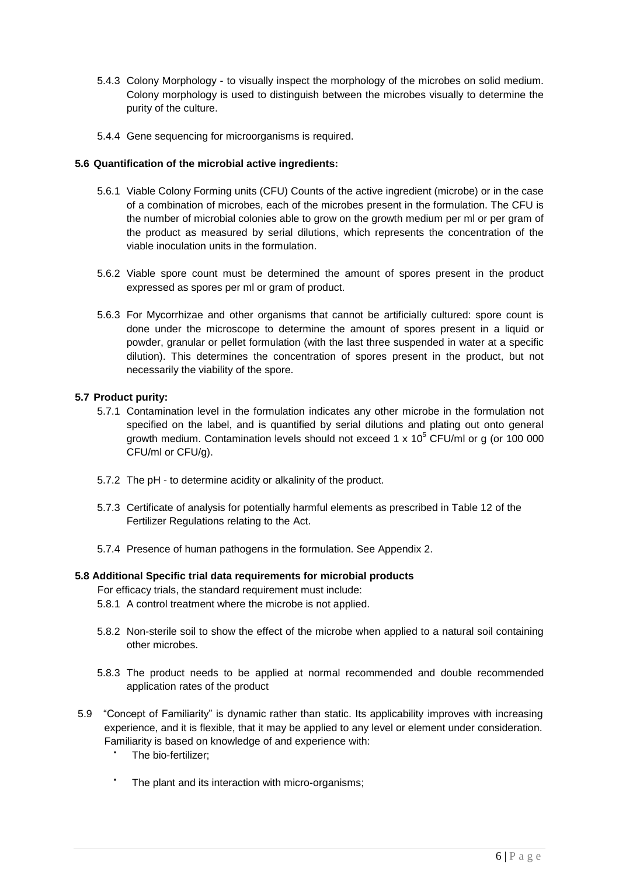- 5.4.3 Colony Morphology to visually inspect the morphology of the microbes on solid medium. Colony morphology is used to distinguish between the microbes visually to determine the purity of the culture.
- 5.4.4 Gene sequencing for microorganisms is required.

# **5.6 Quantification of the microbial active ingredients:**

- 5.6.1 Viable Colony Forming units (CFU) Counts of the active ingredient (microbe) or in the case of a combination of microbes, each of the microbes present in the formulation. The CFU is the number of microbial colonies able to grow on the growth medium per ml or per gram of the product as measured by serial dilutions, which represents the concentration of the viable inoculation units in the formulation.
- 5.6.2 Viable spore count must be determined the amount of spores present in the product expressed as spores per ml or gram of product.
- 5.6.3 For Mycorrhizae and other organisms that cannot be artificially cultured: spore count is done under the microscope to determine the amount of spores present in a liquid or powder, granular or pellet formulation (with the last three suspended in water at a specific dilution). This determines the concentration of spores present in the product, but not necessarily the viability of the spore.

# **5.7 Product purity:**

- 5.7.1 Contamination level in the formulation indicates any other microbe in the formulation not specified on the label, and is quantified by serial dilutions and plating out onto general growth medium. Contamination levels should not exceed 1 x  $10^5$  CFU/ml or g (or 100 000 CFU/ml or CFU/g).
- 5.7.2 The pH to determine acidity or alkalinity of the product.
- 5.7.3 Certificate of analysis for potentially harmful elements as prescribed in Table 12 of the Fertilizer Regulations relating to the Act.
- 5.7.4 Presence of human pathogens in the formulation. See Appendix 2.

# **5.8 Additional Specific trial data requirements for microbial products**

For efficacy trials, the standard requirement must include:

- 5.8.1 A control treatment where the microbe is not applied.
- 5.8.2 Non-sterile soil to show the effect of the microbe when applied to a natural soil containing other microbes.
- 5.8.3 The product needs to be applied at normal recommended and double recommended application rates of the product
- 5.9 "Concept of Familiarity" is dynamic rather than static. Its applicability improves with increasing experience, and it is flexible, that it may be applied to any level or element under consideration. Familiarity is based on knowledge of and experience with:
	- The bio-fertilizer;
	- The plant and its interaction with micro-organisms;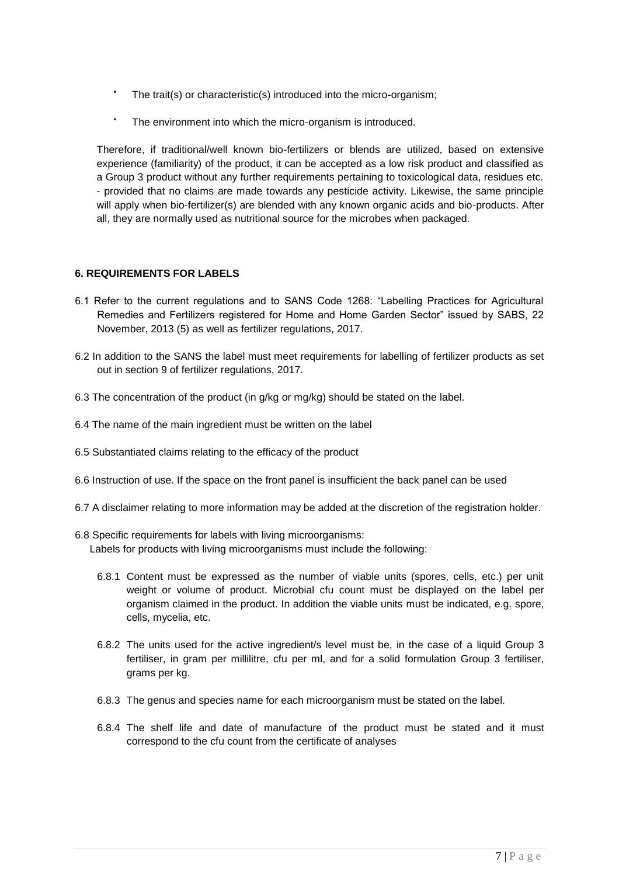- The trait(s) or characteristic(s) introduced into the micro-organism;
- The environment into which the micro-organism is introduced.

Therefore, if traditional/well known bio-fertilizers or blends are utilized, based on extensive experience (familiarity) of the product, it can be accepted as a low risk product and classified as a Group 3 product without any further requirements pertaining to toxicological data, residues etc. - provided that no claims are made towards any pesticide activity. Likewise, the same principle will apply when bio-fertilizer(s) are blended with any known organic acids and bio-products. After all, they are normally used as nutritional source for the microbes when packaged.

# **6. REQUIREMENTS FOR LABELS**

- 6.1 Refer to the current regulations and to SANS Code 1268: "Labelling Practices for Agricultural Remedies and Fertilizers registered for Home and Home Garden Sector" issued by SABS, 22 November, 2013 (5) as well as fertilizer regulations, 2017.
- 6.2 In addition to the SANS the label must meet requirements for labelling of fertilizer products as set out in section 9 of fertilizer regulations, 2017.
- 6.3 The concentration of the product (in  $g/kg$  or mg/kg) should be stated on the label.
- 6.4 The name of the main ingredient must be written on the label
- 6.5 Substantiated claims relating to the efficacy of the product
- 6.6 Instruction of use. If the space on the front panel is insufficient the back panel can be used
- 6.7 A disclaimer relating to more information may be added at the discretion of the registration holder.
- 6.8 Specific requirements for labels with living microorganisms: Labels for products with living microorganisms must include the following:
	- 6.8.1 Content must be expressed as the number of viable units (spores, cells, etc.) per unit weight or volume of product. Microbial cfu count must be displayed on the label per organism claimed in the product. In addition the viable units must be indicated, e.g. spore, cells, mycelia, etc.
	- 6.8.2 The units used for the active ingredient/s level must be, in the case of a liquid Group 3 fertiliser, in gram per millilitre, cfu per ml, and for a solid formulation Group 3 fertiliser, grams per kg.
	- 6.8.3 The genus and species name for each microorganism must be stated on the label.
	- 6.8.4 The shelf life and date of manufacture of the product must be stated and it must correspond to the cfu count from the certificate of analyses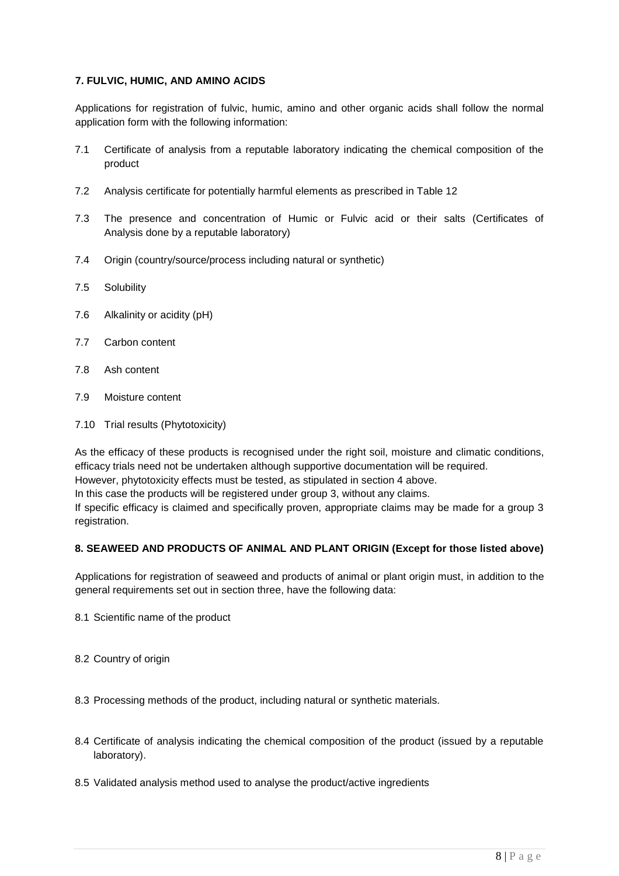# **7. FULVIC, HUMIC, AND AMINO ACIDS**

Applications for registration of fulvic, humic, amino and other organic acids shall follow the normal application form with the following information:

- 7.1 Certificate of analysis from a reputable laboratory indicating the chemical composition of the product
- 7.2 Analysis certificate for potentially harmful elements as prescribed in Table 12
- 7.3 The presence and concentration of Humic or Fulvic acid or their salts (Certificates of Analysis done by a reputable laboratory)
- 7.4 Origin (country/source/process including natural or synthetic)
- 7.5 Solubility
- 7.6 Alkalinity or acidity (pH)
- 7.7 Carbon content
- 7.8 Ash content
- 7.9 Moisture content
- 7.10 Trial results (Phytotoxicity)

As the efficacy of these products is recognised under the right soil, moisture and climatic conditions, efficacy trials need not be undertaken although supportive documentation will be required.

However, phytotoxicity effects must be tested, as stipulated in section 4 above.

In this case the products will be registered under group 3, without any claims.

If specific efficacy is claimed and specifically proven, appropriate claims may be made for a group 3 registration.

# **8. SEAWEED AND PRODUCTS OF ANIMAL AND PLANT ORIGIN (Except for those listed above)**

Applications for registration of seaweed and products of animal or plant origin must, in addition to the general requirements set out in section three, have the following data:

- 8.1 Scientific name of the product
- 8.2 Country of origin
- 8.3 Processing methods of the product, including natural or synthetic materials.
- 8.4 Certificate of analysis indicating the chemical composition of the product (issued by a reputable laboratory).
- 8.5 Validated analysis method used to analyse the product/active ingredients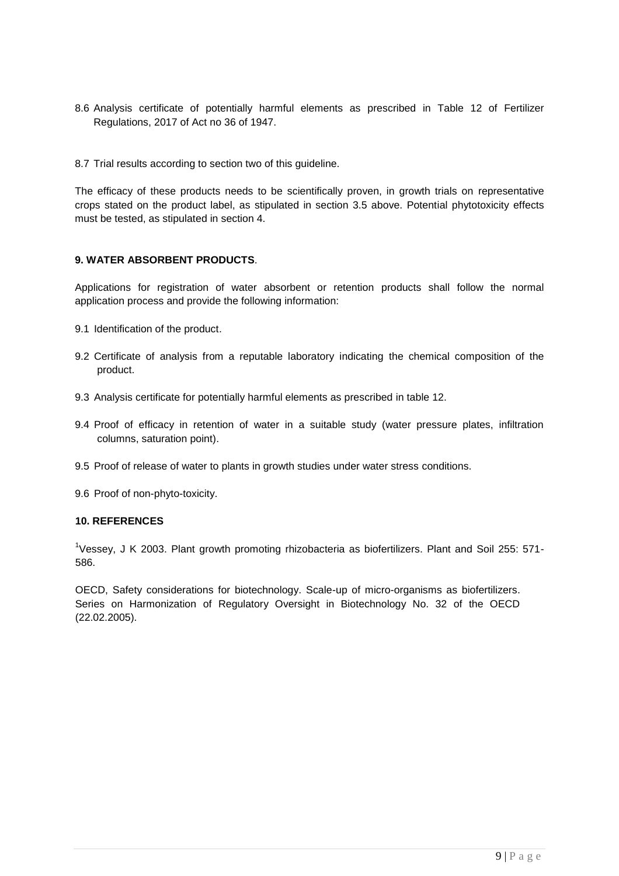- 8.6 Analysis certificate of potentially harmful elements as prescribed in Table 12 of Fertilizer Regulations, 2017 of Act no 36 of 1947.
- 8.7 Trial results according to section two of this guideline.

The efficacy of these products needs to be scientifically proven, in growth trials on representative crops stated on the product label, as stipulated in section 3.5 above. Potential phytotoxicity effects must be tested, as stipulated in section 4.

#### **9. WATER ABSORBENT PRODUCTS**.

Applications for registration of water absorbent or retention products shall follow the normal application process and provide the following information:

- 9.1 Identification of the product.
- 9.2 Certificate of analysis from a reputable laboratory indicating the chemical composition of the product.
- 9.3 Analysis certificate for potentially harmful elements as prescribed in table 12.
- 9.4 Proof of efficacy in retention of water in a suitable study (water pressure plates, infiltration columns, saturation point).
- 9.5 Proof of release of water to plants in growth studies under water stress conditions.
- 9.6 Proof of non-phyto-toxicity.

#### **10. REFERENCES**

<sup>1</sup>Vessey, J K 2003. Plant growth promoting rhizobacteria as biofertilizers. Plant and Soil 255: 571-586.

OECD, Safety considerations for biotechnology. Scale-up of micro-organisms as biofertilizers. Series on Harmonization of Regulatory Oversight in Biotechnology No. 32 of the OECD (22.02.2005).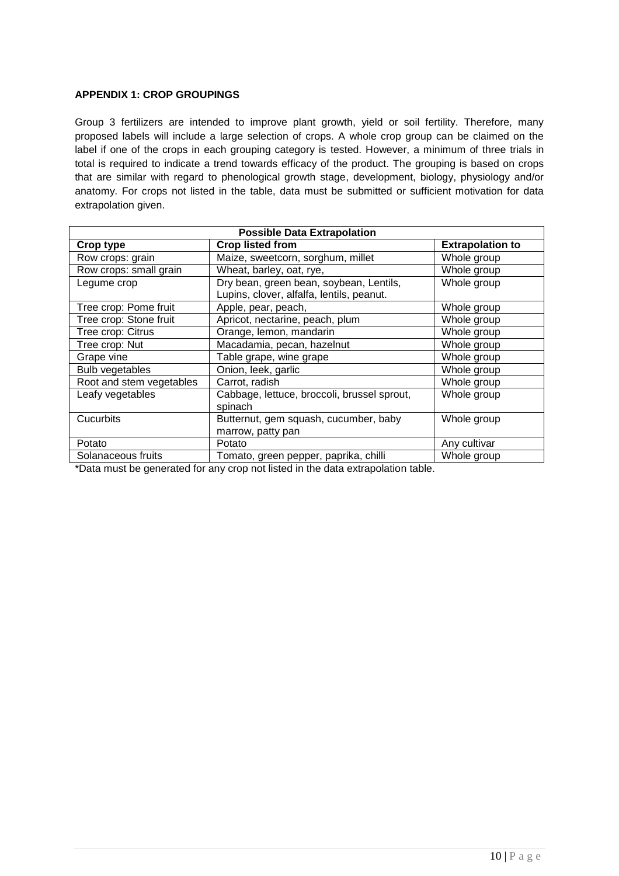# **APPENDIX 1: CROP GROUPINGS**

Group 3 fertilizers are intended to improve plant growth, yield or soil fertility. Therefore, many proposed labels will include a large selection of crops. A whole crop group can be claimed on the label if one of the crops in each grouping category is tested. However, a minimum of three trials in total is required to indicate a trend towards efficacy of the product. The grouping is based on crops that are similar with regard to phenological growth stage, development, biology, physiology and/or anatomy. For crops not listed in the table, data must be submitted or sufficient motivation for data extrapolation given.

| <b>Possible Data Extrapolation</b> |                                             |                         |  |  |  |
|------------------------------------|---------------------------------------------|-------------------------|--|--|--|
| Crop type                          | <b>Crop listed from</b>                     | <b>Extrapolation to</b> |  |  |  |
| Row crops: grain                   | Maize, sweetcorn, sorghum, millet           | Whole group             |  |  |  |
| Row crops: small grain             | Wheat, barley, oat, rye,                    | Whole group             |  |  |  |
| Legume crop                        | Dry bean, green bean, soybean, Lentils,     | Whole group             |  |  |  |
|                                    | Lupins, clover, alfalfa, lentils, peanut.   |                         |  |  |  |
| Tree crop: Pome fruit              | Apple, pear, peach,                         | Whole group             |  |  |  |
| Tree crop: Stone fruit             | Apricot, nectarine, peach, plum             | Whole group             |  |  |  |
| Tree crop: Citrus                  | Orange, lemon, mandarin                     | Whole group             |  |  |  |
| Tree crop: Nut                     | Macadamia, pecan, hazelnut                  | Whole group             |  |  |  |
| Grape vine                         | Table grape, wine grape                     | Whole group             |  |  |  |
| <b>Bulb vegetables</b>             | Onion, leek, garlic                         | Whole group             |  |  |  |
| Root and stem vegetables           | Carrot, radish                              | Whole group             |  |  |  |
| Leafy vegetables                   | Cabbage, lettuce, broccoli, brussel sprout, | Whole group             |  |  |  |
|                                    | spinach                                     |                         |  |  |  |
| Cucurbits                          | Butternut, gem squash, cucumber, baby       | Whole group             |  |  |  |
|                                    | marrow, patty pan                           |                         |  |  |  |
| Potato                             | Potato                                      | Any cultivar            |  |  |  |
| Solanaceous fruits                 | Tomato, green pepper, paprika, chilli       | Whole group             |  |  |  |

\*Data must be generated for any crop not listed in the data extrapolation table.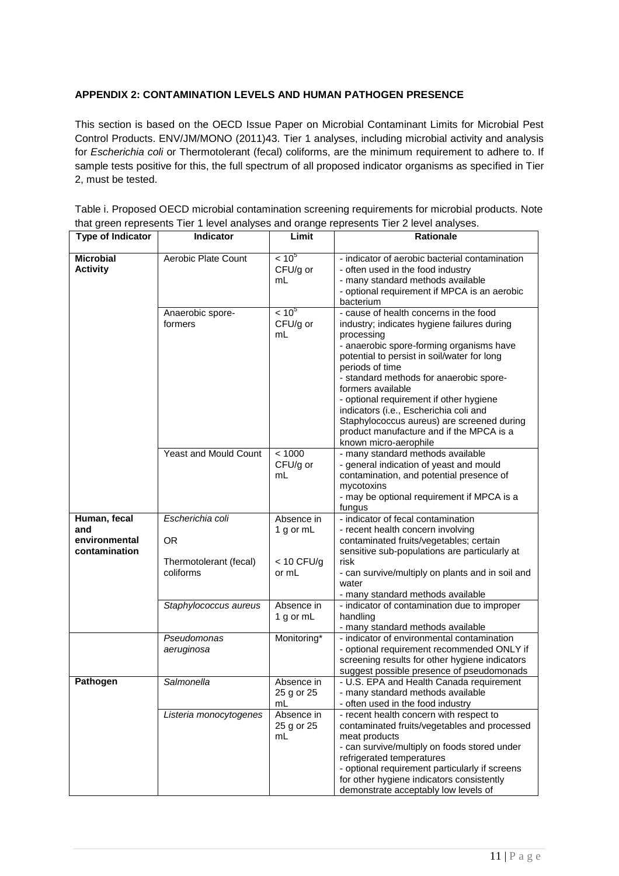# **APPENDIX 2: CONTAMINATION LEVELS AND HUMAN PATHOGEN PRESENCE**

This section is based on the OECD Issue Paper on Microbial Contaminant Limits for Microbial Pest Control Products. ENV/JM/MONO (2011)43. Tier 1 analyses, including microbial activity and analysis for *Escherichia coli* or Thermotolerant (fecal) coliforms, are the minimum requirement to adhere to. If sample tests positive for this, the full spectrum of all proposed indicator organisms as specified in Tier 2, must be tested.

| Table i. Proposed OECD microbial contamination screening requirements for microbial products. Note |  |
|----------------------------------------------------------------------------------------------------|--|
| that green represents Tier 1 level analyses and orange represents Tier 2 level analyses.           |  |

| <b>Type of Indicator</b>            | <b>Indicator</b>            | Limit                          | <b>Rationale</b>                                                                                                                                                                                                                                                                                                                                                                                                                                                                          |
|-------------------------------------|-----------------------------|--------------------------------|-------------------------------------------------------------------------------------------------------------------------------------------------------------------------------------------------------------------------------------------------------------------------------------------------------------------------------------------------------------------------------------------------------------------------------------------------------------------------------------------|
| <b>Microbial</b><br><b>Activity</b> | Aerobic Plate Count         | $< 10^{5}$<br>CFU/g or<br>mL   | - indicator of aerobic bacterial contamination<br>- often used in the food industry<br>- many standard methods available<br>- optional requirement if MPCA is an aerobic<br>bacterium                                                                                                                                                                                                                                                                                                     |
|                                     | Anaerobic spore-<br>formers | $< 10^{5}$<br>CFU/g or<br>mL   | - cause of health concerns in the food<br>industry; indicates hygiene failures during<br>processing<br>- anaerobic spore-forming organisms have<br>potential to persist in soil/water for long<br>periods of time<br>- standard methods for anaerobic spore-<br>formers available<br>- optional requirement if other hygiene<br>indicators (i.e., Escherichia coli and<br>Staphylococcus aureus) are screened during<br>product manufacture and if the MPCA is a<br>known micro-aerophile |
|                                     | Yeast and Mould Count       | < 1000<br>CFU/g or<br>mL       | - many standard methods available<br>- general indication of yeast and mould<br>contamination, and potential presence of<br>mycotoxins<br>- may be optional requirement if MPCA is a<br>fungus                                                                                                                                                                                                                                                                                            |
| Human, fecal                        | Escherichia coli            | Absence in                     | - indicator of fecal contamination                                                                                                                                                                                                                                                                                                                                                                                                                                                        |
| and                                 |                             | 1 g or mL                      | - recent health concern involving                                                                                                                                                                                                                                                                                                                                                                                                                                                         |
| environmental                       | <b>OR</b>                   |                                | contaminated fruits/vegetables; certain                                                                                                                                                                                                                                                                                                                                                                                                                                                   |
| contamination                       |                             |                                | sensitive sub-populations are particularly at                                                                                                                                                                                                                                                                                                                                                                                                                                             |
|                                     | Thermotolerant (fecal)      | $< 10$ CFU/g                   | risk                                                                                                                                                                                                                                                                                                                                                                                                                                                                                      |
|                                     | coliforms                   | or mL                          | - can survive/multiply on plants and in soil and<br>water                                                                                                                                                                                                                                                                                                                                                                                                                                 |
|                                     |                             |                                | - many standard methods available                                                                                                                                                                                                                                                                                                                                                                                                                                                         |
|                                     | Staphylococcus aureus       | Absence in<br>1 g or mL        | - indicator of contamination due to improper<br>handling                                                                                                                                                                                                                                                                                                                                                                                                                                  |
|                                     |                             |                                | - many standard methods available                                                                                                                                                                                                                                                                                                                                                                                                                                                         |
|                                     | Pseudomonas<br>aeruginosa   | Monitoring*                    | - indicator of environmental contamination<br>- optional requirement recommended ONLY if<br>screening results for other hygiene indicators                                                                                                                                                                                                                                                                                                                                                |
|                                     |                             |                                | suggest possible presence of pseudomonads                                                                                                                                                                                                                                                                                                                                                                                                                                                 |
| Pathogen                            | Salmonella                  | Absence in<br>25 g or 25<br>mL | - U.S. EPA and Health Canada requirement<br>- many standard methods available<br>- often used in the food industry                                                                                                                                                                                                                                                                                                                                                                        |
|                                     | Listeria monocytogenes      | Absence in<br>25 g or 25<br>mL | - recent health concern with respect to<br>contaminated fruits/vegetables and processed<br>meat products<br>- can survive/multiply on foods stored under<br>refrigerated temperatures<br>- optional requirement particularly if screens<br>for other hygiene indicators consistently<br>demonstrate acceptably low levels of                                                                                                                                                              |